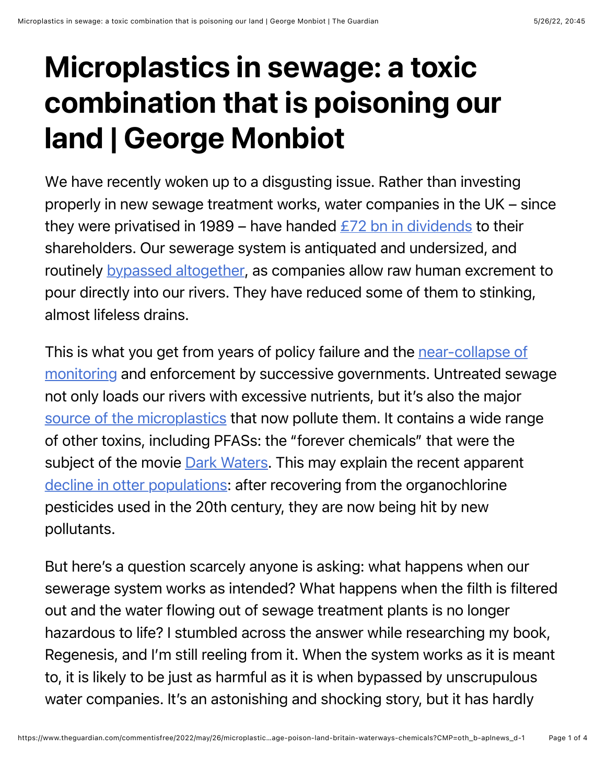## Microplastics in sewage: a toxic combination that is poisoning our land | George Monbiot

We have recently woken up to a disgusting issue. Rather than investing properly in new sewage treatment works, water companies in the UK – since they were privatised in 1989 – have handed  $E$ [72 bn in dividends](https://www.ft.com/content/b2314ae0-9e17-425d-8e3f-066270388331) to their shareholders. Our sewerage system is antiquated and undersized, and routinely **bypassed altogether**, as companies allow raw human excrement to pour directly into our rivers. They have reduced some of them to stinking, almost lifeless drains.

[This is what you get from years of policy failure and the near-collapse of](https://www.theguardian.com/environment/2022/jan/10/ignore-low-impact-pollution-events-environment-agency-staff) monitoring and enforcement by successive governments. Untreated sewage not only loads our rivers with excessive nutrients, but it's also the major [source of the microplastics](https://www.manchester.ac.uk/discover/news/microplastic-pollution-in-uks-rivers/) that now pollute them. It contains a wide range of other toxins, including PFASs: the "forever chemicals" that were the subject of the movie **Dark Waters**. This may explain the recent apparent [decline in otter populations:](https://www.bbc.co.uk/news/uk-wales-60196518) after recovering from the organochlorine pesticides used in the 20th century, they are now being hit by new pollutants.

But here's a question scarcely anyone is asking: what happens when our sewerage system works as intended? What happens when the filth is filtered out and the water flowing out of sewage treatment plants is no longer hazardous to life? I stumbled across the answer while researching my book, Regenesis, and I'm still reeling from it. When the system works as it is meant to, it is likely to be just as harmful as it is when bypassed by unscrupulous water companies. It's an astonishing and shocking story, but it has hardly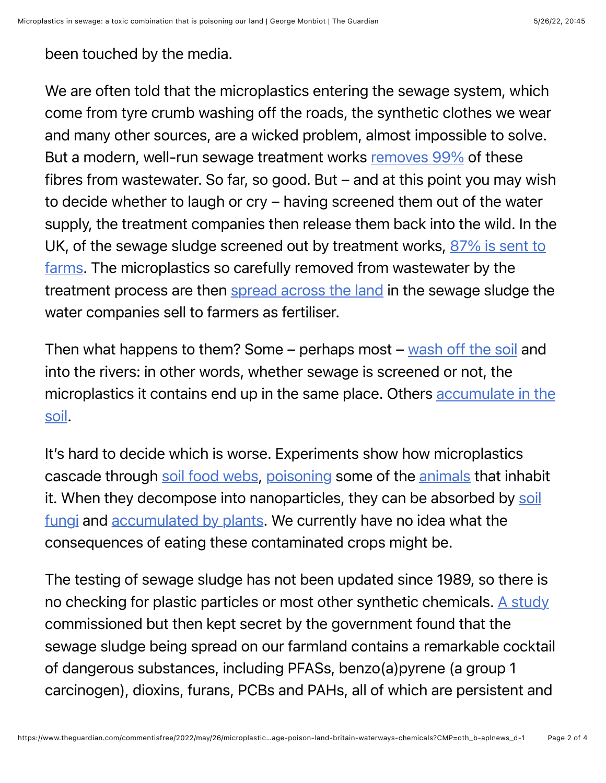been touched by the media.

We are often told that the microplastics entering the sewage system, which come from tyre crumb washing off the roads, the synthetic clothes we wear and many other sources, are a wicked problem, almost impossible to solve. But a modern, well-run sewage treatment works [removes 99%](https://www.sciencedirect.com/science/article/abs/pii/S0025326X18304053) of these fibres from wastewater. So far, so good. But – and at this point you may wish to decide whether to laugh or cry – having screened them out of the water supply, the treatment companies then release them back into the wild. In the [UK, of the sewage sludge screened out by treatment works, 87% is sent to](https://assuredbiosolids.co.uk/about-biosolids/) farms. The microplastics so carefully removed from wastewater by the treatment process are then [spread across the land](https://doi.org/10.1371/journal.pone.0237839) in the sewage sludge the water companies sell to farmers as fertiliser.

Then what happens to them? Some – perhaps most – [wash off the soil](https://doi.org/10.1016/j.scitotenv.2020.138334) and into the rivers: in other words, whether sewage is screened or not, the [microplastics it contains end up in the same place. Others accumulate in the](https://doi.org/10.1016/j.scitotenv.2019.03.368) soil.

It's hard to decide which is worse. Experiments show how microplastics cascade through [soil food webs](https://doi.org/10.1098/rspb.2020.1268), [poisoning](https://doi.org/10.1016/j.envpol.2019.04.066) some of the [animals](https://doi.org/10.1016/j.envpol.2019.113174) that inhabit [it. When they decompose into nanoparticles, they can be absorbed by soil](https://doi.org/10.1111/gcb.14020) fungi and [accumulated by plants](https://doi.org/10.1038/s41565-020-0707-4). We currently have no idea what the consequences of eating these contaminated crops might be.

The testing of sewage sludge has not been updated since 1989, so there is no checking for plastic particles or most other synthetic chemicals. [A study](https://unearthed.greenpeace.org/2020/02/04/sewage-sludge-landspreading-environment-agency-report/) commissioned but then kept secret by the government found that the sewage sludge being spread on our farmland contains a remarkable cocktail of dangerous substances, including PFASs, benzo(a)pyrene (a group 1 carcinogen), dioxins, furans, PCBs and PAHs, all of which are persistent and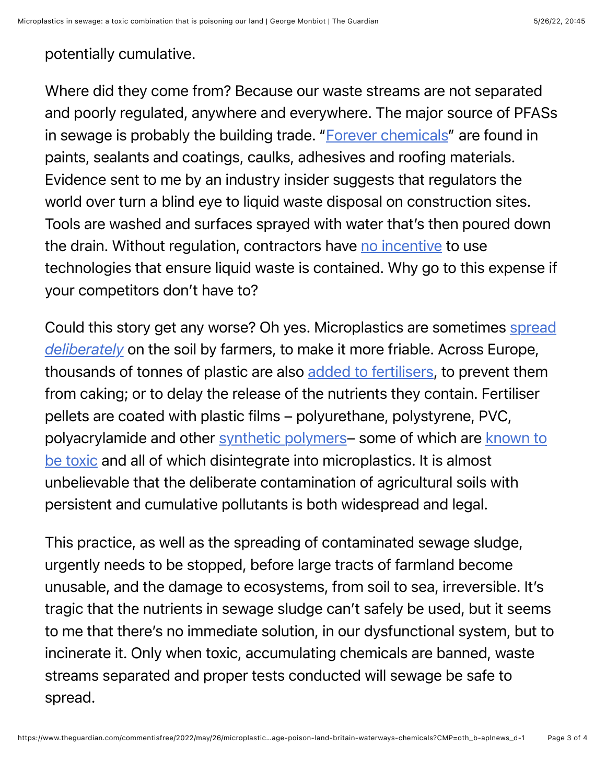## potentially cumulative.

Where did they come from? Because our waste streams are not separated and poorly regulated, anywhere and everywhere. The major source of PFASs in sewage is probably the building trade. ["Forever chemicals](https://greensciencepolicy.org/docs/pfas-building-materials-2021.pdf)" are found in paints, sealants and coatings, caulks, adhesives and roofing materials. Evidence sent to me by an industry insider suggests that regulators the world over turn a blind eye to liquid waste disposal on construction sites. Tools are washed and surfaces sprayed with water that's then poured down the drain. Without regulation, contractors have [no incentive](https://researchdirect.westernsydney.edu.au/islandora/object/uws:61436) to use technologies that ensure liquid waste is contained. Why go to this expense if your competitors don't have to?

Could this story get any worse? Oh yes. Microplastics are sometimes [spread](https://ec.europa.eu/environment/chemicals/reach/pdf/39168%20Intentionally%20added%20microplastics%20-%20Final%20report%2020171020.pdf) *[deliberately](https://ec.europa.eu/environment/chemicals/reach/pdf/39168%20Intentionally%20added%20microplastics%20-%20Final%20report%2020171020.pdf)* on the soil by farmers, to make it more friable. Across Europe, thousands of tonnes of plastic are also [added to fertilisers](https://doi.org/10.3390/environments7050038), to prevent them from caking; or to delay the release of the nutrients they contain. Fertiliser pellets are coated with plastic films – polyurethane, polystyrene, PVC, [polyacrylamide and other](https://doi.org/10.1016/j.jconrel.2016.01.037) [synthetic polymer](https://doi.org/10.1016/bs.agron.2017.10.003)s- some of which are known to be toxic and all of which disintegrate into microplastics. It is almost unbelievable that the deliberate contamination of agricultural soils with persistent and cumulative pollutants is both widespread and legal.

This practice, as well as the spreading of contaminated sewage sludge, urgently needs to be stopped, before large tracts of farmland become unusable, and the damage to ecosystems, from soil to sea, irreversible. It's tragic that the nutrients in sewage sludge can't safely be used, but it seems to me that there's no immediate solution, in our dysfunctional system, but to incinerate it. Only when toxic, accumulating chemicals are banned, waste streams separated and proper tests conducted will sewage be safe to spread.